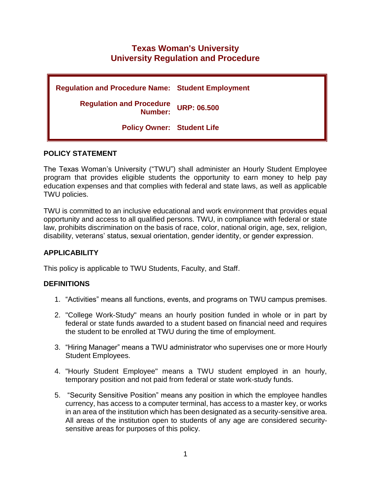# **Texas Woman's University University Regulation and Procedure**

| <b>Regulation and Procedure Name: Student Employment</b> |                    |
|----------------------------------------------------------|--------------------|
| <b>Regulation and Procedure</b><br>Number:               | <b>URP: 06.500</b> |
| <b>Policy Owner: Student Life</b>                        |                    |

#### **POLICY STATEMENT**

The Texas Woman's University ("TWU") shall administer an Hourly Student Employee program that provides eligible students the opportunity to earn money to help pay education expenses and that complies with federal and state laws, as well as applicable TWU policies.

TWU is committed to an inclusive educational and work environment that provides equal opportunity and access to all qualified persons. TWU, in compliance with federal or state law, prohibits discrimination on the basis of race, color, national origin, age, sex, religion, disability, veterans' status, sexual orientation, gender identity, or gender expression.

# **APPLICABILITY**

This policy is applicable to TWU Students, Faculty, and Staff.

# **DEFINITIONS**

- 1. "Activities" means all functions, events, and programs on TWU campus premises.
- 2. "College Work-Study" means an hourly position funded in whole or in part by federal or state funds awarded to a student based on financial need and requires the student to be enrolled at TWU during the time of employment.
- 3. "Hiring Manager" means a TWU administrator who supervises one or more Hourly Student Employees.
- 4. "Hourly Student Employee" means a TWU student employed in an hourly, temporary position and not paid from federal or state work-study funds.
- 5. "Security Sensitive Position" means any position in which the employee handles currency, has access to a computer terminal, has access to a master key, or works in an area of the institution which has been designated as a security-sensitive area. All areas of the institution open to students of any age are considered securitysensitive areas for purposes of this policy.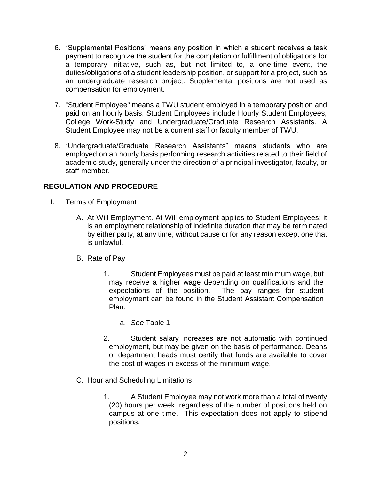- 6. "Supplemental Positions" means any position in which a student receives a task payment to recognize the student for the completion or fulfillment of obligations for a temporary initiative, such as, but not limited to, a one-time event, the duties/obligations of a student leadership position, or support for a project, such as an undergraduate research project. Supplemental positions are not used as compensation for employment.
- 7. "Student Employee" means a TWU student employed in a temporary position and paid on an hourly basis. Student Employees include Hourly Student Employees, College Work-Study and Undergraduate/Graduate Research Assistants. A Student Employee may not be a current staff or faculty member of TWU.
- 8. "Undergraduate/Graduate Research Assistants" means students who are employed on an hourly basis performing research activities related to their field of academic study, generally under the direction of a principal investigator, faculty, or staff member.

# **REGULATION AND PROCEDURE**

- I. Terms of Employment
	- A. At-Will Employment. At-Will employment applies to Student Employees; it is an employment relationship of indefinite duration that may be terminated by either party, at any time, without cause or for any reason except one that is unlawful.
	- B. Rate of Pay
		- 1. Student Employees must be paid at least minimum wage, but may receive a higher wage depending on qualifications and the expectations of the position. The pay ranges for student employment can be found in the Student Assistant Compensation Plan.
			- a. *See* Table 1
		- 2. Student salary increases are not automatic with continued employment, but may be given on the basis of performance. Deans or department heads must certify that funds are available to cover the cost of wages in excess of the minimum wage.
	- C. Hour and Scheduling Limitations
		- 1. A Student Employee may not work more than a total of twenty (20) hours per week, regardless of the number of positions held on campus at one time. This expectation does not apply to stipend positions.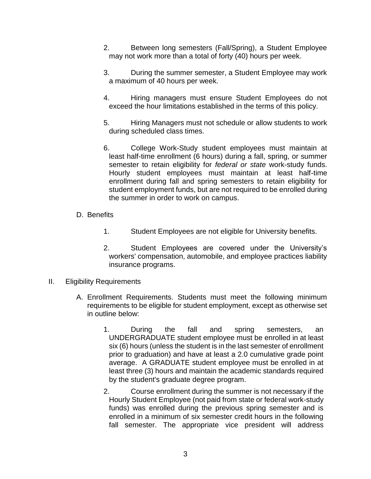- 2. Between long semesters (Fall/Spring), a Student Employee may not work more than a total of forty (40) hours per week.
- 3. During the summer semester, a Student Employee may work a maximum of 40 hours per week.
- 4. Hiring managers must ensure Student Employees do not exceed the hour limitations established in the terms of this policy.
- 5. Hiring Managers must not schedule or allow students to work during scheduled class times.
- 6. College Work-Study student employees must maintain at least half-time enrollment (6 hours) during a fall, spring, or summer semester to retain eligibility for *federal or state* work-study funds. Hourly student employees must maintain at least half-time enrollment during fall and spring semesters to retain eligibility for student employment funds, but are not required to be enrolled during the summer in order to work on campus.
- D. Benefits
	- 1. Student Employees are not eligible for University benefits.
	- 2. Student Employees are covered under the University's workers' compensation, automobile, and employee practices liability insurance programs.
- II. Eligibility Requirements
	- A. Enrollment Requirements. Students must meet the following minimum requirements to be eligible for student employment, except as otherwise set in outline below:
		- 1. During the fall and spring semesters, an UNDERGRADUATE student employee must be enrolled in at least six (6) hours (unless the student is in the last semester of enrollment prior to graduation) and have at least a 2.0 cumulative grade point average. A GRADUATE student employee must be enrolled in at least three (3) hours and maintain the academic standards required by the student's graduate degree program.
		- 2. Course enrollment during the summer is not necessary if the Hourly Student Employee (not paid from state or federal work-study funds) was enrolled during the previous spring semester and is enrolled in a minimum of six semester credit hours in the following fall semester. The appropriate vice president will address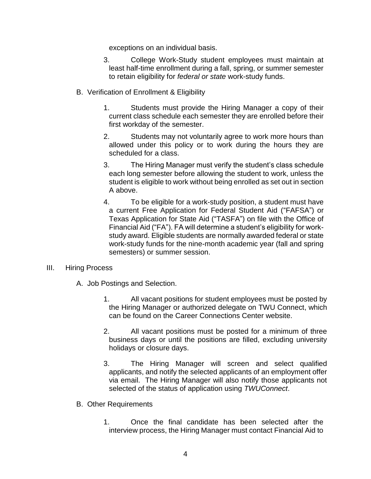exceptions on an individual basis.

- 3. College Work-Study student employees must maintain at least half-time enrollment during a fall, spring, or summer semester to retain eligibility for *federal or state* work-study funds.
- B. Verification of Enrollment & Eligibility
	- 1. Students must provide the Hiring Manager a copy of their current class schedule each semester they are enrolled before their first workday of the semester.
	- 2. Students may not voluntarily agree to work more hours than allowed under this policy or to work during the hours they are scheduled for a class.
	- 3. The Hiring Manager must verify the student's class schedule each long semester before allowing the student to work, unless the student is eligible to work without being enrolled as set out in section A above.
	- 4. To be eligible for a work-study position, a student must have a current Free Application for Federal Student Aid ("FAFSA") or Texas Application for State Aid ("TASFA") on file with the Office of Financial Aid ("FA"). FA will determine a student's eligibility for workstudy award. Eligible students are normally awarded federal or state work-study funds for the nine-month academic year (fall and spring semesters) or summer session.

#### III. Hiring Process

- A. Job Postings and Selection.
	- 1. All vacant positions for student employees must be posted by the Hiring Manager or authorized delegate on TWU Connect, which can be found on the Career Connections Center website.
	- 2. All vacant positions must be posted for a minimum of three business days or until the positions are filled, excluding university holidays or closure days.
	- 3. The Hiring Manager will screen and select qualified applicants, and notify the selected applicants of an employment offer via email. The Hiring Manager will also notify those applicants not selected of the status of application using *TWUConnect*.
- B. Other Requirements
	- 1. Once the final candidate has been selected after the interview process, the Hiring Manager must contact Financial Aid to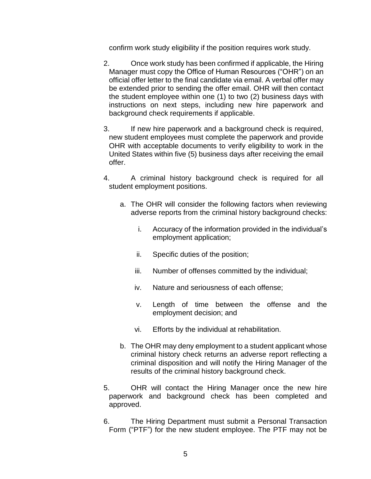confirm work study eligibility if the position requires work study.

- 2. Once work study has been confirmed if applicable, the Hiring Manager must copy the Office of Human Resources ("OHR") on an official offer letter to the final candidate via email. A verbal offer may be extended prior to sending the offer email. OHR will then contact the student employee within one (1) to two (2) business days with instructions on next steps, including new hire paperwork and background check requirements if applicable.
- 3. If new hire paperwork and a background check is required, new student employees must complete the paperwork and provide OHR with acceptable documents to verify eligibility to work in the United States within five (5) business days after receiving the email offer.
- 4. A criminal history background check is required for all student employment positions.
	- a. The OHR will consider the following factors when reviewing adverse reports from the criminal history background checks:
		- i. Accuracy of the information provided in the individual's employment application;
		- ii. Specific duties of the position;
		- iii. Number of offenses committed by the individual;
		- iv. Nature and seriousness of each offense;
		- v. Length of time between the offense and the employment decision; and
		- vi. Efforts by the individual at rehabilitation.
	- b. The OHR may deny employment to a student applicant whose criminal history check returns an adverse report reflecting a criminal disposition and will notify the Hiring Manager of the results of the criminal history background check.
- 5. OHR will contact the Hiring Manager once the new hire paperwork and background check has been completed and approved.
- 6. The Hiring Department must submit a Personal Transaction Form ("PTF") for the new student employee. The PTF may not be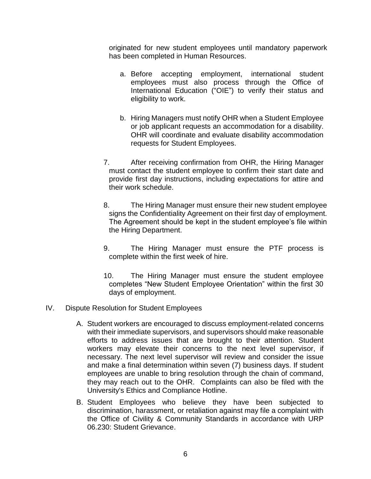originated for new student employees until mandatory paperwork has been completed in Human Resources.

- a. Before accepting employment, international student employees must also process through the Office of International Education ("OIE") to verify their status and eligibility to work.
- b. Hiring Managers must notify OHR when a Student Employee or job applicant requests an accommodation for a disability. OHR will coordinate and evaluate disability accommodation requests for Student Employees.
- 7. After receiving confirmation from OHR, the Hiring Manager must contact the student employee to confirm their start date and provide first day instructions, including expectations for attire and their work schedule.
- 8. The Hiring Manager must ensure their new student employee signs the Confidentiality Agreement on their first day of employment. The Agreement should be kept in the student employee's file within the Hiring Department.
- 9. The Hiring Manager must ensure the PTF process is complete within the first week of hire.
- 10. The Hiring Manager must ensure the student employee completes "New Student Employee Orientation" within the first 30 days of employment.
- IV. Dispute Resolution for Student Employees
	- A. Student workers are encouraged to discuss employment-related concerns with their immediate supervisors, and supervisors should make reasonable efforts to address issues that are brought to their attention. Student workers may elevate their concerns to the next level supervisor, if necessary. The next level supervisor will review and consider the issue and make a final determination within seven (7) business days. If student employees are unable to bring resolution through the chain of command, they may reach out to the OHR. Complaints can also be filed with the University's Ethics and Compliance Hotline.
	- B. Student Employees who believe they have been subjected to discrimination, harassment, or retaliation against may file a complaint with the Office of Civility & Community Standards in accordance with URP 06.230: Student Grievance.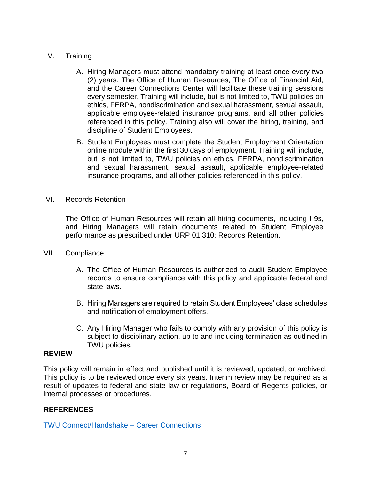### V. Training

- A. Hiring Managers must attend mandatory training at least once every two (2) years. The Office of Human Resources, The Office of Financial Aid, and the Career Connections Center will facilitate these training sessions every semester. Training will include, but is not limited to, TWU policies on ethics, FERPA, nondiscrimination and sexual harassment, sexual assault, applicable employee-related insurance programs, and all other policies referenced in this policy. Training also will cover the hiring, training, and discipline of Student Employees.
- B. Student Employees must complete the Student Employment Orientation online module within the first 30 days of employment. Training will include, but is not limited to, TWU policies on ethics, FERPA, nondiscrimination and sexual harassment, sexual assault, applicable employee-related insurance programs, and all other policies referenced in this policy.
- VI. Records Retention

The Office of Human Resources will retain all hiring documents, including I-9s, and Hiring Managers will retain documents related to Student Employee performance as prescribed under URP 01.310: Records Retention.

- VII. Compliance
	- A. The Office of Human Resources is authorized to audit Student Employee records to ensure compliance with this policy and applicable federal and state laws.
	- B. Hiring Managers are required to retain Student Employees' class schedules and notification of employment offers.
	- C. Any Hiring Manager who fails to comply with any provision of this policy is subject to disciplinary action, up to and including termination as outlined in TWU policies.

#### **REVIEW**

This policy will remain in effect and published until it is reviewed, updated, or archived. This policy is to be reviewed once every six years. Interim review may be required as a result of updates to federal and state law or regulations, Board of Regents policies, or internal processes or procedures.

#### **REFERENCES**

[TWU Connect/Handshake –](https://careerconnections.twu.edu/resources/twu-connect-handshake/) Career Connections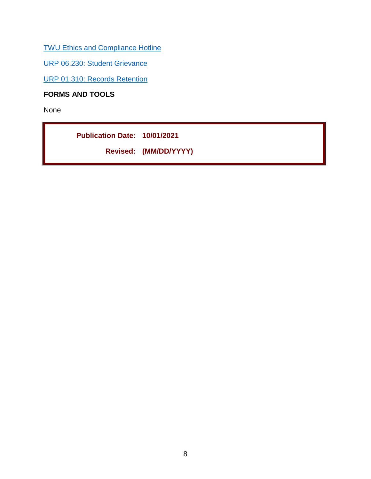[TWU Ethics and Compliance Hotline](https://twu.edu/hotline/)

[URP 06.230: Student Grievance](https://public.powerdms.com/TWU1/documents/1745844)

URP 01.310: [Records Retention](https://www.powerdms.com/public/TWU1/documents/1745650)

**FORMS AND TOOLS**

None

**Publication Date: 10/01/2021 Revised: (MM/DD/YYYY)**